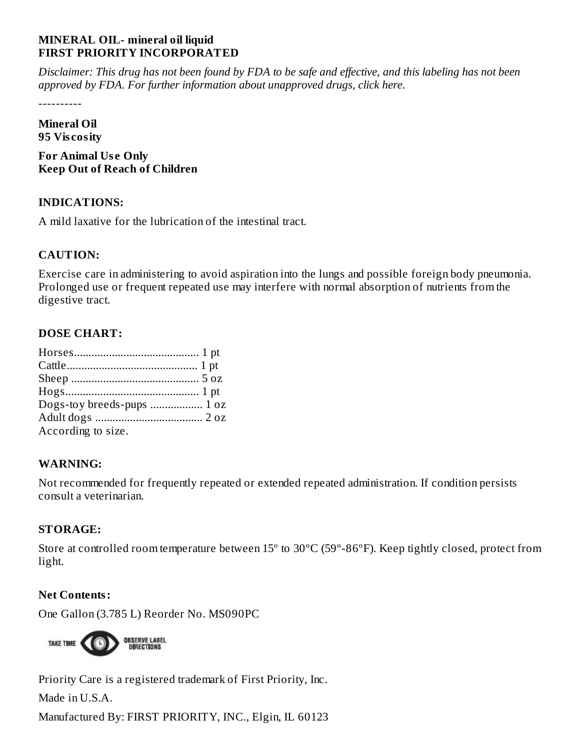#### **MINERAL OIL- mineral oil liquid FIRST PRIORITY INCORPORATED**

Disclaimer: This drug has not been found by FDA to be safe and effective, and this labeling has not been *approved by FDA. For further information about unapproved drugs, click here.*

----------

#### **Mineral Oil 95 Vis cosity**

**For Animal Us e Only Keep Out of Reach of Children**

## **INDICATIONS:**

A mild laxative for the lubrication of the intestinal tract.

## **CAUTION:**

Exercise care in administering to avoid aspiration into the lungs and possible foreign body pneumonia. Prolonged use or frequent repeated use may interfere with normal absorption of nutrients from the digestive tract.

# **DOSE CHART:**

| Dogs-toy breeds-pups  1 oz |  |
|----------------------------|--|
|                            |  |
| According to size.         |  |

#### **WARNING:**

Not recommended for frequently repeated or extended repeated administration. If condition persists consult a veterinarian.

# **STORAGE:**

Store at controlled room temperature between 15º to 30ºC (59º-86ºF). Keep tightly closed, protect from light.

#### **Net Contents:**

One Gallon (3.785 L) Reorder No. MS090PC



Priority Care is a registered trademark of First Priority, Inc.

Made in U.S.A.

Manufactured By: FIRST PRIORITY, INC., Elgin, IL 60123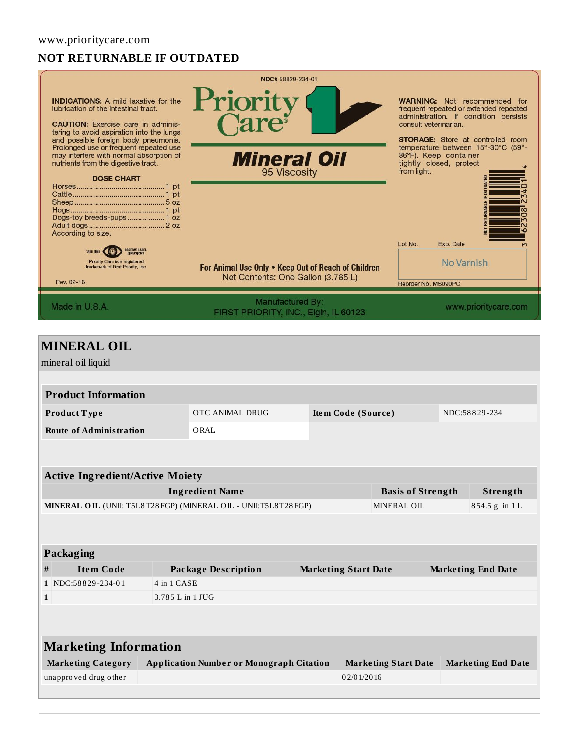# **NOT RETURNABLE IF OUTDATED**

| NDC# 58829-234-01                                                                                                                                                                                                                                                                                                                                                                            |                                                 |                                                                                           |                                         |                                                                                                                                                                                                                                                              |  |  |  |
|----------------------------------------------------------------------------------------------------------------------------------------------------------------------------------------------------------------------------------------------------------------------------------------------------------------------------------------------------------------------------------------------|-------------------------------------------------|-------------------------------------------------------------------------------------------|-----------------------------------------|--------------------------------------------------------------------------------------------------------------------------------------------------------------------------------------------------------------------------------------------------------------|--|--|--|
| <b>INDICATIONS:</b> A mild laxative for the<br>lubrication of the intestinal tract.<br><b>CAUTION:</b> Exercise care in adminis-<br>tering to avoid aspiration into the lungs<br>and possible foreign body pneumonia.<br>Prolonged use or frequent repeated use<br>may interfere with normal absorption of<br>nutrients from the digestive tract.<br><b>DOSE CHART</b><br>According to size. | Priority<br>Care®                               | <b>Mineral Oil</b><br>95 Viscosity                                                        | consult veterinarian.<br>from light.    | <b>WARNING:</b> Not recommended for<br>frequent repeated or extended repeated<br>administration. If condition persists<br><b>STORAGE:</b> Store at controlled room<br>temperature between 15°-30°C (59°-<br>86°F). Keep container<br>tightly closed, protect |  |  |  |
| <b>OBSERVE LABEL</b><br><b>TAKE TIME</b><br>Priority Care is a registered<br>trademark of First Priority, Inc.<br>Rev. 02-16                                                                                                                                                                                                                                                                 |                                                 | For Animal Use Only . Keep Out of Reach of Children<br>Net Contents: One Gallon (3.785 L) | Lot No.<br>Reorder No. MS090PC          | Exp. Date<br>M<br>No Varnish                                                                                                                                                                                                                                 |  |  |  |
| Made in U.S.A.                                                                                                                                                                                                                                                                                                                                                                               |                                                 | <b>Manufactured By:</b><br>FIRST PRIORITY, INC., Elgin, IL 60123                          |                                         | www.prioritycare.com                                                                                                                                                                                                                                         |  |  |  |
| <b>MINERAL OIL</b><br>mineral oil liquid<br><b>Product Information</b><br>Product Type<br><b>Route of Administration</b>                                                                                                                                                                                                                                                                     | OTC ANIMAL DRUG<br>ORAL                         | Item Code (Source)                                                                        |                                         | NDC:58829-234                                                                                                                                                                                                                                                |  |  |  |
| <b>Active Ingredient/Active Moiety</b>                                                                                                                                                                                                                                                                                                                                                       |                                                 |                                                                                           |                                         |                                                                                                                                                                                                                                                              |  |  |  |
|                                                                                                                                                                                                                                                                                                                                                                                              | <b>Ingredient Name</b>                          |                                                                                           | <b>Basis of Strength</b><br>MINERAL OIL | <b>Strength</b>                                                                                                                                                                                                                                              |  |  |  |
| MINERAL OIL (UNII: T5L8T28FGP) (MINERAL OIL - UNII:T5L8T28FGP)<br>854.5 g in 1L                                                                                                                                                                                                                                                                                                              |                                                 |                                                                                           |                                         |                                                                                                                                                                                                                                                              |  |  |  |
| Packaging<br>$\#$<br><b>Item Code</b>                                                                                                                                                                                                                                                                                                                                                        | <b>Package Description</b>                      | <b>Marketing Start Date</b>                                                               |                                         | <b>Marketing End Date</b>                                                                                                                                                                                                                                    |  |  |  |
| 1 NDC:58829-234-01                                                                                                                                                                                                                                                                                                                                                                           | 4 in 1 CASE                                     |                                                                                           |                                         |                                                                                                                                                                                                                                                              |  |  |  |
| $\mathbf{1}$                                                                                                                                                                                                                                                                                                                                                                                 | 3.785 L in 1 JUG                                |                                                                                           |                                         |                                                                                                                                                                                                                                                              |  |  |  |
| <b>Marketing Information</b>                                                                                                                                                                                                                                                                                                                                                                 |                                                 |                                                                                           |                                         |                                                                                                                                                                                                                                                              |  |  |  |
| <b>Marketing Category</b>                                                                                                                                                                                                                                                                                                                                                                    | <b>Application Number or Monograph Citation</b> |                                                                                           | <b>Marketing Start Date</b>             | <b>Marketing End Date</b>                                                                                                                                                                                                                                    |  |  |  |
| unapproved drug other                                                                                                                                                                                                                                                                                                                                                                        |                                                 | 02/01/2016                                                                                |                                         |                                                                                                                                                                                                                                                              |  |  |  |
|                                                                                                                                                                                                                                                                                                                                                                                              |                                                 |                                                                                           |                                         |                                                                                                                                                                                                                                                              |  |  |  |